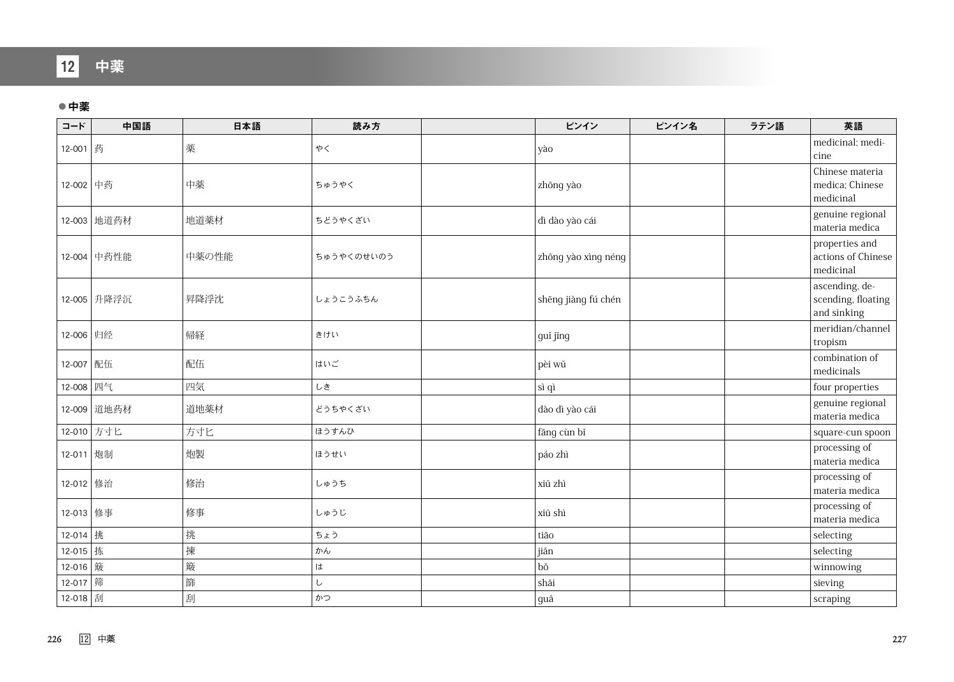## 12 中薬

## ●中薬

| コード       | 中国語         | 日本語   | 読み方        | ピンイン                | ピンイン名 | ラテン語 | 英語                                                  |
|-----------|-------------|-------|------------|---------------------|-------|------|-----------------------------------------------------|
| 12-001 药  |             | 薬     | やく         | yào                 |       |      | medicinal; medi-<br>cine                            |
| 12-002 中药 |             | 中薬    | ちゅうやく      | zhōng yào           |       |      | Chinese materia<br>medica; Chinese<br>medicinal     |
|           | 12-003 地道药材 | 地道薬材  | ちどうやくざい    | dì dào yào cái      |       |      | genuine regional<br>materia medica                  |
|           | 12-004 中药性能 | 中薬の性能 | ちゅうやくのせいのう | zhōng yào xìng néng |       |      | properties and<br>actions of Chinese<br>medicinal   |
|           | 12-005 升降浮沉 | 昇降浮沈  | しょうこうふちん   | shēng jiàng fú chén |       |      | ascending, de-<br>scending, floating<br>and sinking |
| 12-006 归经 |             | 帰経    | きけい        | guī jīng            |       |      | meridian/channel<br>tropism                         |
| 12-007 配伍 |             | 配伍    | はいご        | pèi wǔ              |       |      | combination of<br>medicinals                        |
| 12-008 四气 |             | 四気    | しき         | sì qì               |       |      | four properties                                     |
|           | 12-009 道地药材 | 道地薬材  | どうちやくざい    | dào dì yào cái      |       |      | genuine regional<br>materia medica                  |
|           | 12-010 方寸匕  | 方寸匕   | ほうすんひ      | fāng cùn bǐ         |       |      | square-cun spoon                                    |
| 12-011 炮制 |             | 炮製    | ほうせい       | páo zhì             |       |      | processing of<br>materia medica                     |
| 12-012 修治 |             | 修治    | しゅうち       | xiū zhì             |       |      | processing of<br>materia medica                     |
| 12-013 修事 |             | 修事    | しゅうじ       | xiū shì             |       |      | processing of<br>materia medica                     |
| 12-014 挑  |             | 挑     | ちょう        | tiāo                |       |      | selecting                                           |
| 12-015 拣  |             | 揀     | かん         | jiǎn                |       |      | selecting                                           |
| 12-016 簸  |             | 簸     | は          | bŏ                  |       |      | winnowing                                           |
| 12-017 筛  |             | 篩     | し          | shāi                |       |      | sieving                                             |
| 12-018 刮  |             | 刮     | かつ         | guā                 |       |      | scraping                                            |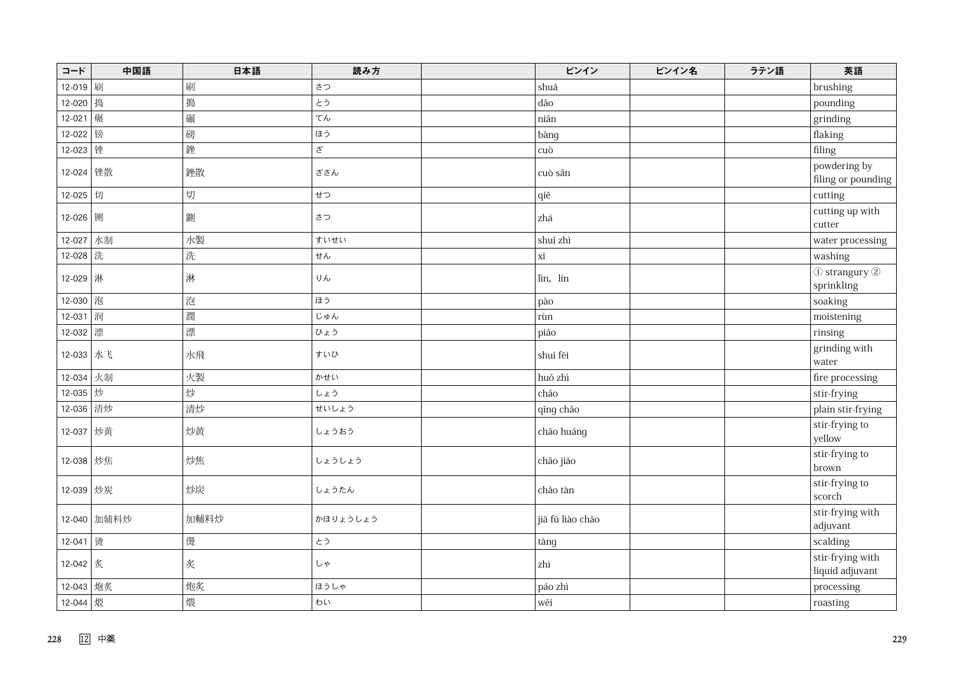| コード        | 中国語         | 日本語  | 読み方      | ピンイン             | ピンイン名 | ラテン語 | 英語                                  |
|------------|-------------|------|----------|------------------|-------|------|-------------------------------------|
| 12-019     | 刷           | 刷    | さつ       | shuā             |       |      | brushing                            |
| 12-020     | 捣           | 搗    | とう       | dǎo              |       |      | pounding                            |
| 12-021     | 碾           | 碾    | てん       | niăn             |       |      | grinding                            |
| 12-022     | 镑           | 磅    | ほう       | bàng             |       |      | flaking                             |
| 12-023     | 锉           | 銼    | ざ        | cuò              |       |      | filing                              |
| 12-024 锉散  |             | 銼散   | ざさん      | cuò săn          |       |      | powdering by<br>filing or pounding  |
| 12-025 切   |             | 切    | せつ       | qiē              |       |      | cutting                             |
| 12-026 铡   |             | 鍘    | さつ       | zhá              |       |      | cutting up with<br>cutter           |
| 12-027     | 水制          | 水製   | すいせい     | shuĭ zhì         |       |      | water processing                    |
| 12-028 洗   |             | 洗    | せん       | хĭ               |       |      | washing                             |
| 12-029 淋   |             | 淋    | りん       | lìn, lín         |       |      | 1 strangury 2<br>sprinkling         |
| 12-030     | 泡           | 泡    | ほう       | pào              |       |      | soaking                             |
| 12-031     | 润           | 潤    | じゅん      | rùn              |       |      | moistening                          |
| 12-032     | 漂           | 漂    | ひょう      | piăo             |       |      | rinsing                             |
| 12-033 水飞  |             | 水飛   | すいひ      | shuí fēi         |       |      | grinding with<br>water              |
| $12 - 034$ | 火制          | 火製   | かせい      | huǒ zhì          |       |      | fire processing                     |
| 12-035   炒 |             | 炒    | しょう      | chǎo             |       |      | stir-frying                         |
| 12-036     | 清炒          | 清炒   | せいしょう    | qīng chǎo        |       |      | plain stir-frying                   |
| 12-037 炒黄  |             | 炒黄   | しょうおう    | chảo huáng       |       |      | stir-frying to<br>yellow            |
| 12-038 炒焦  |             | 炒焦   | しょうしょう   | chăo jiāo        |       |      | stir-frying to<br>brown             |
| 12-039 炒炭  |             | 炒炭   | しょうたん    | chảo tàn         |       |      | stir-frying to<br>scorch            |
|            | 12-040 加辅料炒 | 加輔料炒 | かほりょうしょう | jiā fǔ liào chǎo |       |      | stir-frying with<br>adjuvant        |
| 12-041 烫   |             | 燙    | とう       | tàng             |       |      | scalding                            |
| 12-042 炙   |             | 炙    | しゃ       | zhì              |       |      | stir-frying with<br>liquid adjuvant |
| 12-043 炮炙  |             | 炮炙   | ほうしゃ     | páo zhì          |       |      | processing                          |
| 12-044   煨 |             | 煨    | わい       | wēi              |       |      | roasting                            |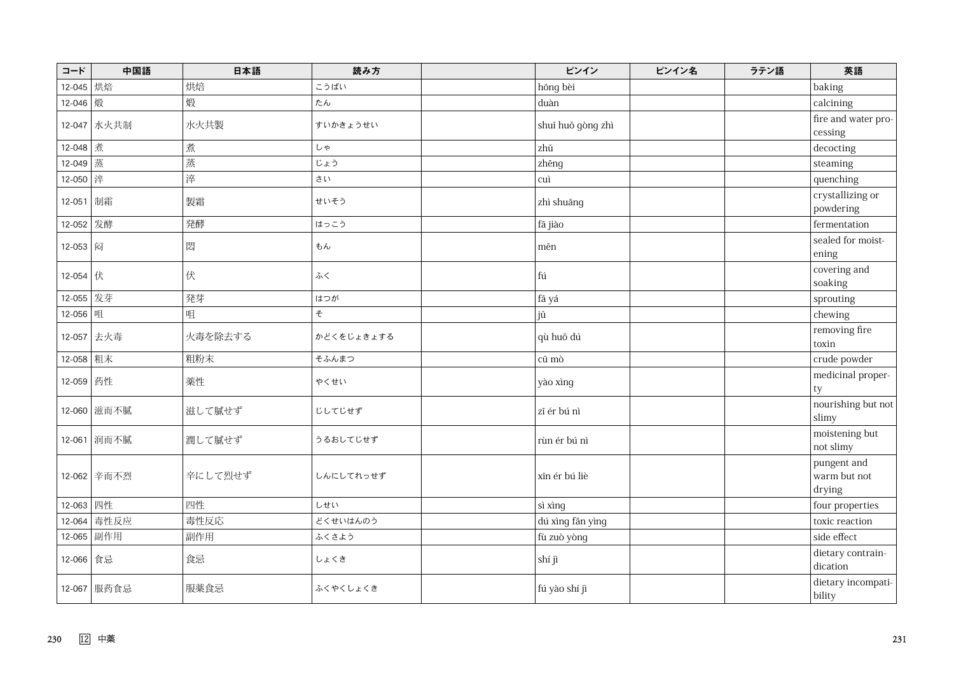| コード                    | 中国語         | 日本語     | 読み方        | ピンイン              | ピンイン名 | ラテン語 | 英語                                    |
|------------------------|-------------|---------|------------|-------------------|-------|------|---------------------------------------|
| 12-045                 | 烘焙          | 烘焙      | こうばい       | hōng bèi          |       |      | baking                                |
| 12-046                 | 煅           | 煅       | たん         | duàn              |       |      | calcining                             |
|                        | 12-047 水火共制 | 水火共製    | すいかきょうせい   | shui huǒ gòng zhì |       |      | fire and water pro-<br>cessing        |
| 12-048 煮               |             | 煮       | しゃ         | zhŭ               |       |      | decocting                             |
| 12-049                 | 蒸           | 蒸       | じょう        | zhēng             |       |      | steaming                              |
| 12-050 $ \nrightarrow$ |             | 淬       | さい         | cuì               |       |      | quenching                             |
| 12-051 制霜              |             | 製霜      | せいそう       | zhì shuāng        |       |      | crystallizing or<br>powdering         |
| 12-052                 | 发酵          | 発酵      | はっこう       | fā jiào           |       |      | fermentation                          |
| 12-053 闷               |             | 悶       | もん         | $m\bar{e}n$       |       |      | sealed for moist-<br>ening            |
| $12-054$ 伏             |             | 伏       | ふく         | fú                |       |      | covering and<br>soaking               |
| 12-055                 | 发芽          | 発芽      | はつが        | fā yá             |       |      | sprouting                             |
| 12-056                 | 咀           | 咀       | そ          | jŭ                |       |      | chewing                               |
| $12 - 057$             | 去火毒         | 火毒を除去する | かどくをじょきょする | qù huǒ dú         |       |      | removing fire<br>toxin                |
| 12-058 粗末              |             | 粗粉末     | そふんまつ      | cū mò             |       |      | crude powder                          |
| 12-059 药性              |             | 薬性      | やくせい       | yào xìng          |       |      | medicinal proper-<br>ty               |
|                        | 12-060 滋而不腻 | 滋して膩せず  | じしてじせず     | zī ér bú nì       |       |      | nourishing but not<br>slimy           |
|                        | 12-061 润而不腻 | 潤して膩せず  | うるおしてじせず   | rùn ér bú nì      |       |      | moistening but<br>not slimy           |
|                        | 12-062 辛而不烈 | 辛にして烈せず | しんにしてれっせず  | xīn ér bú liè     |       |      | pungent and<br>warm but not<br>drying |
| 12-063 四性              |             | 四性      | しせい        | sì xìng           |       |      | four properties                       |
| 12-064                 | 毒性反应        | 毒性反応    | どくせいはんのう   | dú xìng făn yìng  |       |      | toxic reaction                        |
| 12-065                 | 副作用         | 副作用     | ふくさよう      | fù zuò yòng       |       |      | side effect                           |
| 12-066 食忌              |             | 食忌      | しょくき       | shí jì            |       |      | dietary contrain-<br>dication         |
|                        | 12-067 服药食忌 | 服薬食忌    | ふくやくしょくき   | fú yào shí jì     |       |      | dietary incompati-<br>bility          |